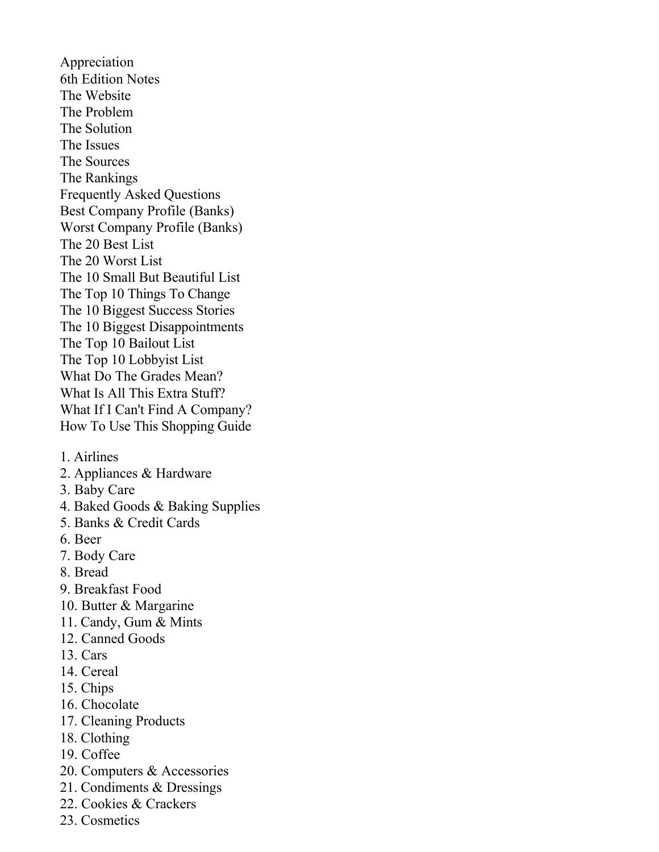Appreciation 6th Edition Notes The Website The Problem The Solution The Issues The Sources The Rankings Frequently Asked Questions Best Company Profile (Banks) Worst Company Profile (Banks) The 20 Best List The 20 Worst List The 10 Small But Beautiful List The Top 10 Things To Change The 10 Biggest Success Stories The 10 Biggest Disappointments The Top 10 Bailout List The Top 10 Lobbyist List What Do The Grades Mean? What Is All This Extra Stuff? What If I Can't Find A Company? How To Use This Shopping Guide

- 1. Airlines
- 2. Appliances & Hardware
- 3. Baby Care
- 4. Baked Goods & Baking Supplies
- 5. Banks & Credit Cards
- 6. Beer
- 7. Body Care
- 8. Bread
- 9. Breakfast Food
- 10. Butter & Margarine
- 11. Candy, Gum & Mints
- 12. Canned Goods
- 13. Cars
- 14. Cereal
- 15. Chips
- 16. Chocolate
- 17. Cleaning Products
- 18. Clothing
- 19. Coffee
- 20. Computers & Accessories
- 21. Condiments & Dressings
- 22. Cookies & Crackers
- 23. Cosmetics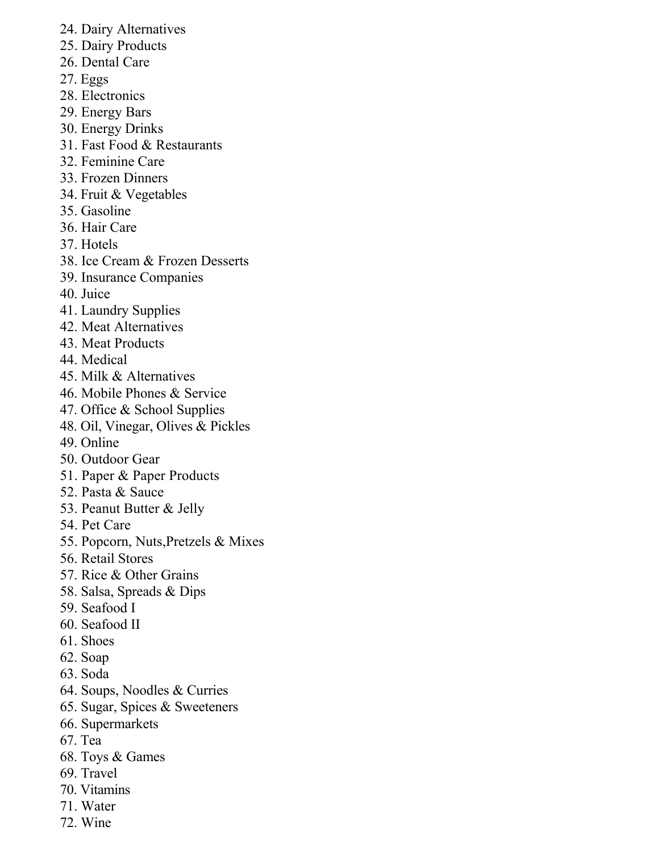- 24. Dairy Alternatives
- 25. Dairy Products
- 26. Dental Care
- 27. Eggs
- 28. Electronics
- 29. Energy Bars
- 30. Energy Drinks
- 31. Fast Food & Restaurants
- 32. Feminine Care
- 33. Frozen Dinners
- 34. Fruit & Vegetables
- 35. Gasoline
- 36. Hair Care
- 37. Hotels
- 38. Ice Cream & Frozen Desserts
- 39. Insurance Companies
- 40. Juice
- 41. Laundry Supplies
- 42. Meat Alternatives
- 43. Meat Products
- 44. Medical
- 45. Milk & Alternatives
- 46. Mobile Phones & Service
- 47. Office & School Supplies
- 48. Oil, Vinegar, Olives & Pickles
- 49. Online
- 50. Outdoor Gear
- 51. Paper & Paper Products
- 52. Pasta & Sauce
- 53. Peanut Butter & Jelly
- 54. Pet Care
- 55. Popcorn, Nuts,Pretzels & Mixes
- 56. Retail Stores
- 57. Rice & Other Grains
- 58. Salsa, Spreads & Dips
- 59. Seafood I
- 60. Seafood II
- 61. Shoes
- 62. Soap
- 63. Soda
- 64. Soups, Noodles & Curries
- 65. Sugar, Spices & Sweeteners
- 66. Supermarkets
- 67. Tea
- 68. Toys & Games
- 69. Travel
- 70. Vitamins
- 71. Water
- 72. Wine